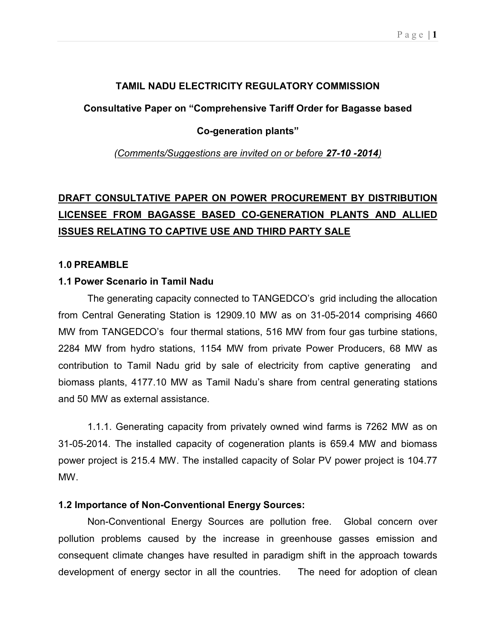# TAMIL NADU ELECTRICITY REGULATORY COMMISSION

Consultative Paper on "Comprehensive Tariff Order for Bagasse based

## Co-generation plants"

(Comments/Suggestions are invited on or before 27-10 -2014)

# DRAFT CONSULTATIVE PAPER ON POWER PROCUREMENT BY DISTRIBUTION LICENSEE FROM BAGASSE BASED CO-GENERATION PLANTS AND ALLIED ISSUES RELATING TO CAPTIVE USE AND THIRD PARTY SALE

### 1.0 PREAMBLE

# 1.1 Power Scenario in Tamil Nadu

The generating capacity connected to TANGEDCO's grid including the allocation from Central Generating Station is 12909.10 MW as on 31-05-2014 comprising 4660 MW from TANGEDCO's four thermal stations, 516 MW from four gas turbine stations, 2284 MW from hydro stations, 1154 MW from private Power Producers, 68 MW as contribution to Tamil Nadu grid by sale of electricity from captive generating and biomass plants, 4177.10 MW as Tamil Nadu's share from central generating stations and 50 MW as external assistance.

1.1.1. Generating capacity from privately owned wind farms is 7262 MW as on 31-05-2014. The installed capacity of cogeneration plants is 659.4 MW and biomass power project is 215.4 MW. The installed capacity of Solar PV power project is 104.77 MW.

### 1.2 Importance of Non-Conventional Energy Sources:

Non-Conventional Energy Sources are pollution free. Global concern over pollution problems caused by the increase in greenhouse gasses emission and consequent climate changes have resulted in paradigm shift in the approach towards development of energy sector in all the countries. The need for adoption of clean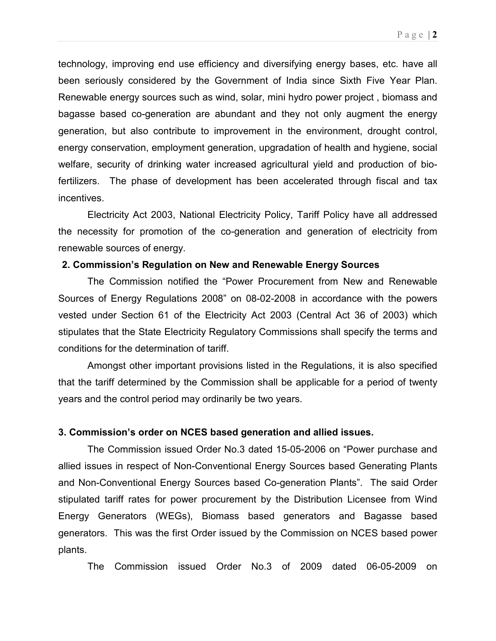technology, improving end use efficiency and diversifying energy bases, etc. have all been seriously considered by the Government of India since Sixth Five Year Plan. Renewable energy sources such as wind, solar, mini hydro power project , biomass and bagasse based co-generation are abundant and they not only augment the energy generation, but also contribute to improvement in the environment, drought control, energy conservation, employment generation, upgradation of health and hygiene, social welfare, security of drinking water increased agricultural yield and production of biofertilizers. The phase of development has been accelerated through fiscal and tax incentives.

Electricity Act 2003, National Electricity Policy, Tariff Policy have all addressed the necessity for promotion of the co-generation and generation of electricity from renewable sources of energy.

### 2. Commission's Regulation on New and Renewable Energy Sources

The Commission notified the "Power Procurement from New and Renewable Sources of Energy Regulations 2008" on 08-02-2008 in accordance with the powers vested under Section 61 of the Electricity Act 2003 (Central Act 36 of 2003) which stipulates that the State Electricity Regulatory Commissions shall specify the terms and conditions for the determination of tariff.

Amongst other important provisions listed in the Regulations, it is also specified that the tariff determined by the Commission shall be applicable for a period of twenty years and the control period may ordinarily be two years.

### 3. Commission's order on NCES based generation and allied issues.

The Commission issued Order No.3 dated 15-05-2006 on "Power purchase and allied issues in respect of Non-Conventional Energy Sources based Generating Plants and Non-Conventional Energy Sources based Co-generation Plants". The said Order stipulated tariff rates for power procurement by the Distribution Licensee from Wind Energy Generators (WEGs), Biomass based generators and Bagasse based generators. This was the first Order issued by the Commission on NCES based power plants.

The Commission issued Order No.3 of 2009 dated 06-05-2009 on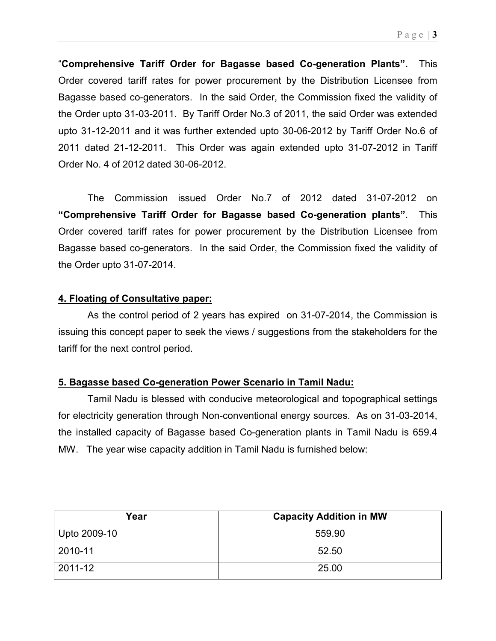"Comprehensive Tariff Order for Bagasse based Co-generation Plants". This Order covered tariff rates for power procurement by the Distribution Licensee from Bagasse based co-generators. In the said Order, the Commission fixed the validity of the Order upto 31-03-2011. By Tariff Order No.3 of 2011, the said Order was extended upto 31-12-2011 and it was further extended upto 30-06-2012 by Tariff Order No.6 of 2011 dated 21-12-2011. This Order was again extended upto 31-07-2012 in Tariff Order No. 4 of 2012 dated 30-06-2012.

The Commission issued Order No.7 of 2012 dated 31-07-2012 on "Comprehensive Tariff Order for Bagasse based Co-generation plants". This Order covered tariff rates for power procurement by the Distribution Licensee from Bagasse based co-generators. In the said Order, the Commission fixed the validity of the Order upto 31-07-2014.

# 4. Floating of Consultative paper:

As the control period of 2 years has expired on 31-07-2014, the Commission is issuing this concept paper to seek the views / suggestions from the stakeholders for the tariff for the next control period.

# 5. Bagasse based Co-generation Power Scenario in Tamil Nadu:

Tamil Nadu is blessed with conducive meteorological and topographical settings for electricity generation through Non-conventional energy sources. As on 31-03-2014, the installed capacity of Bagasse based Co-generation plants in Tamil Nadu is 659.4 MW. The year wise capacity addition in Tamil Nadu is furnished below:

| Year         | <b>Capacity Addition in MW</b> |
|--------------|--------------------------------|
| Upto 2009-10 | 559.90                         |
| 2010-11      | 52.50                          |
| 2011-12      | 25.00                          |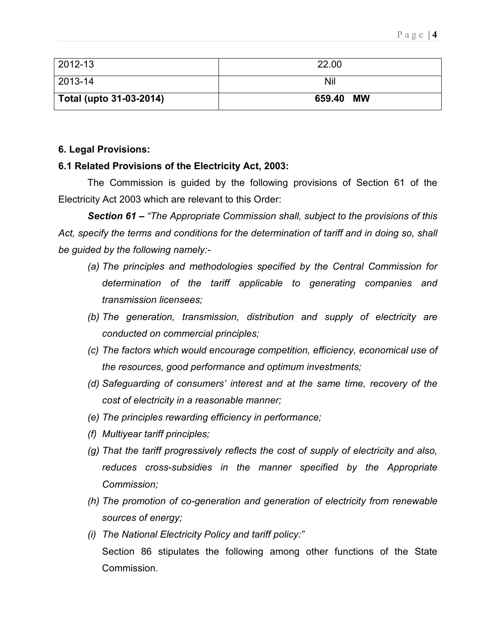| $ 2012 - 13 $           | 22.00     |
|-------------------------|-----------|
| $ 2013 - 14 $           | Nil       |
| Total (upto 31-03-2014) | 659.40 MW |

# 6. Legal Provisions:

## 6.1 Related Provisions of the Electricity Act, 2003:

The Commission is guided by the following provisions of Section 61 of the Electricity Act 2003 which are relevant to this Order:

Section 61 – "The Appropriate Commission shall, subject to the provisions of this Act, specify the terms and conditions for the determination of tariff and in doing so, shall be guided by the following namely:-

- (a) The principles and methodologies specified by the Central Commission for determination of the tariff applicable to generating companies and transmission licensees;
- (b) The generation, transmission, distribution and supply of electricity are conducted on commercial principles;
- (c) The factors which would encourage competition, efficiency, economical use of the resources, good performance and optimum investments;
- (d) Safeguarding of consumers' interest and at the same time, recovery of the cost of electricity in a reasonable manner;
- (e) The principles rewarding efficiency in performance;
- (f) Multiyear tariff principles;
- (g) That the tariff progressively reflects the cost of supply of electricity and also, reduces cross-subsidies in the manner specified by the Appropriate Commission;
- (h) The promotion of co-generation and generation of electricity from renewable sources of energy;
- (i) The National Electricity Policy and tariff policy:" Section 86 stipulates the following among other functions of the State **Commission**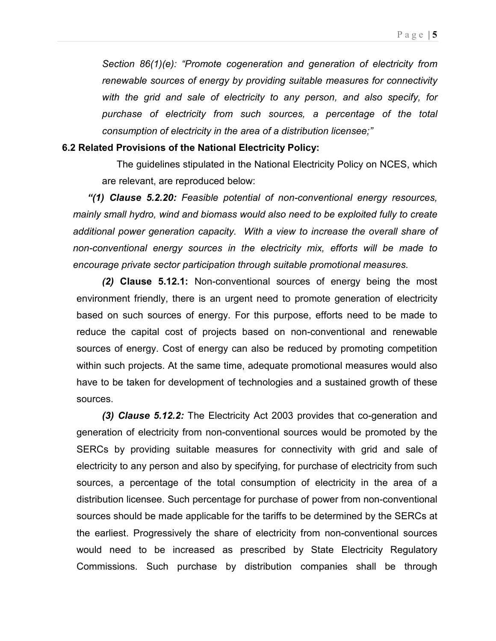Section 86(1)(e): "Promote cogeneration and generation of electricity from renewable sources of energy by providing suitable measures for connectivity with the grid and sale of electricity to any person, and also specify, for purchase of electricity from such sources, a percentage of the total consumption of electricity in the area of a distribution licensee;"

### 6.2 Related Provisions of the National Electricity Policy:

 The guidelines stipulated in the National Electricity Policy on NCES, which are relevant, are reproduced below:

"(1) Clause 5.2.20: Feasible potential of non-conventional energy resources, mainly small hydro, wind and biomass would also need to be exploited fully to create additional power generation capacity. With a view to increase the overall share of non-conventional energy sources in the electricity mix, efforts will be made to encourage private sector participation through suitable promotional measures.

(2) Clause 5.12.1: Non-conventional sources of energy being the most environment friendly, there is an urgent need to promote generation of electricity based on such sources of energy. For this purpose, efforts need to be made to reduce the capital cost of projects based on non-conventional and renewable sources of energy. Cost of energy can also be reduced by promoting competition within such projects. At the same time, adequate promotional measures would also have to be taken for development of technologies and a sustained growth of these sources.

(3) Clause 5.12.2: The Electricity Act 2003 provides that co-generation and generation of electricity from non-conventional sources would be promoted by the SERCs by providing suitable measures for connectivity with grid and sale of electricity to any person and also by specifying, for purchase of electricity from such sources, a percentage of the total consumption of electricity in the area of a distribution licensee. Such percentage for purchase of power from non-conventional sources should be made applicable for the tariffs to be determined by the SERCs at the earliest. Progressively the share of electricity from non-conventional sources would need to be increased as prescribed by State Electricity Regulatory Commissions. Such purchase by distribution companies shall be through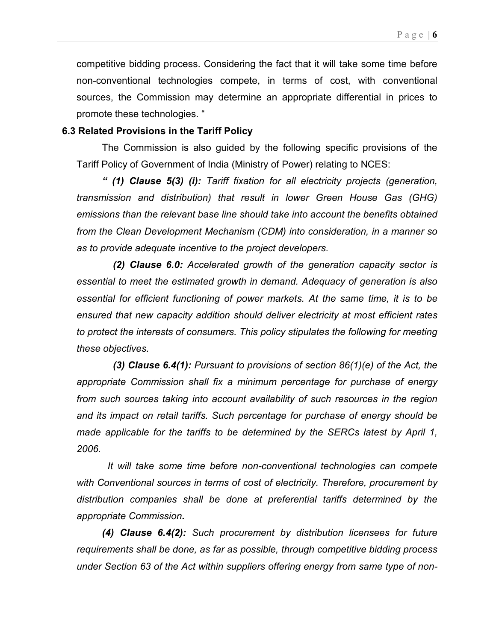competitive bidding process. Considering the fact that it will take some time before non-conventional technologies compete, in terms of cost, with conventional sources, the Commission may determine an appropriate differential in prices to promote these technologies. "

#### 6.3 Related Provisions in the Tariff Policy

The Commission is also guided by the following specific provisions of the Tariff Policy of Government of India (Ministry of Power) relating to NCES:

" (1) Clause 5(3) (i): Tariff fixation for all electricity projects (generation, transmission and distribution) that result in lower Green House Gas (GHG) emissions than the relevant base line should take into account the benefits obtained from the Clean Development Mechanism (CDM) into consideration, in a manner so as to provide adequate incentive to the project developers.

 (2) Clause 6.0: Accelerated growth of the generation capacity sector is essential to meet the estimated growth in demand. Adequacy of generation is also essential for efficient functioning of power markets. At the same time, it is to be ensured that new capacity addition should deliver electricity at most efficient rates to protect the interests of consumers. This policy stipulates the following for meeting these objectives.

(3) Clause 6.4(1): Pursuant to provisions of section  $86(1)(e)$  of the Act, the appropriate Commission shall fix a minimum percentage for purchase of energy from such sources taking into account availability of such resources in the region and its impact on retail tariffs. Such percentage for purchase of energy should be made applicable for the tariffs to be determined by the SERCs latest by April 1, 2006.

 It will take some time before non-conventional technologies can compete with Conventional sources in terms of cost of electricity. Therefore, procurement by distribution companies shall be done at preferential tariffs determined by the appropriate Commission.

(4) Clause 6.4(2): Such procurement by distribution licensees for future requirements shall be done, as far as possible, through competitive bidding process under Section 63 of the Act within suppliers offering energy from same type of non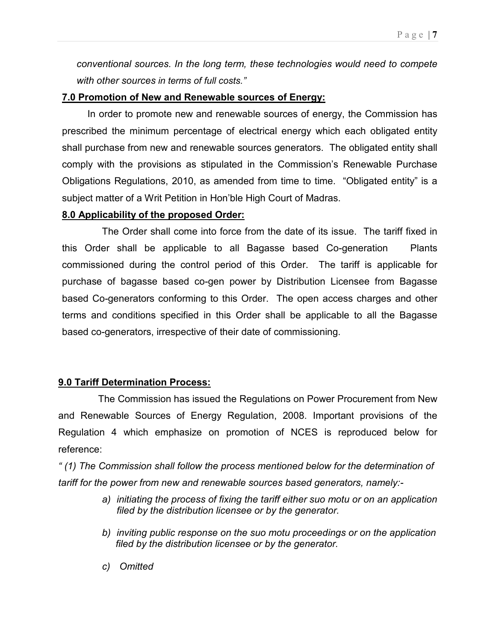conventional sources. In the long term, these technologies would need to compete with other sources in terms of full costs."

# 7.0 Promotion of New and Renewable sources of Energy:

In order to promote new and renewable sources of energy, the Commission has prescribed the minimum percentage of electrical energy which each obligated entity shall purchase from new and renewable sources generators. The obligated entity shall comply with the provisions as stipulated in the Commission's Renewable Purchase Obligations Regulations, 2010, as amended from time to time. "Obligated entity" is a subject matter of a Writ Petition in Hon'ble High Court of Madras.

# 8.0 Applicability of the proposed Order:

The Order shall come into force from the date of its issue. The tariff fixed in this Order shall be applicable to all Bagasse based Co-generation Plants commissioned during the control period of this Order. The tariff is applicable for purchase of bagasse based co-gen power by Distribution Licensee from Bagasse based Co-generators conforming to this Order. The open access charges and other terms and conditions specified in this Order shall be applicable to all the Bagasse based co-generators, irrespective of their date of commissioning.

# 9.0 Tariff Determination Process:

 The Commission has issued the Regulations on Power Procurement from New and Renewable Sources of Energy Regulation, 2008. Important provisions of the Regulation 4 which emphasize on promotion of NCES is reproduced below for reference:

" (1) The Commission shall follow the process mentioned below for the determination of tariff for the power from new and renewable sources based generators, namely:-

- a) initiating the process of fixing the tariff either suo motu or on an application filed by the distribution licensee or by the generator.
- b) inviting public response on the suo motu proceedings or on the application filed by the distribution licensee or by the generator.
- c) Omitted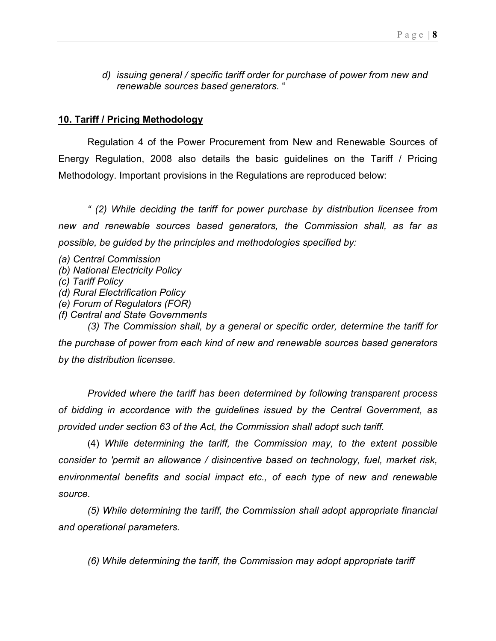d) issuing general / specific tariff order for purchase of power from new and renewable sources based generators. "

# 10. Tariff / Pricing Methodology

Regulation 4 of the Power Procurement from New and Renewable Sources of Energy Regulation, 2008 also details the basic guidelines on the Tariff / Pricing Methodology. Important provisions in the Regulations are reproduced below:

" (2) While deciding the tariff for power purchase by distribution licensee from new and renewable sources based generators, the Commission shall, as far as possible, be guided by the principles and methodologies specified by:

- (a) Central Commission
- (b) National Electricity Policy
- (c) Tariff Policy
- (d) Rural Electrification Policy
- (e) Forum of Regulators (FOR)
- (f) Central and State Governments

(3) The Commission shall, by a general or specific order, determine the tariff for the purchase of power from each kind of new and renewable sources based generators by the distribution licensee.

 Provided where the tariff has been determined by following transparent process of bidding in accordance with the guidelines issued by the Central Government, as provided under section 63 of the Act, the Commission shall adopt such tariff.

(4) While determining the tariff, the Commission may, to the extent possible consider to 'permit an allowance / disincentive based on technology, fuel, market risk, environmental benefits and social impact etc., of each type of new and renewable source.

(5) While determining the tariff, the Commission shall adopt appropriate financial and operational parameters.

(6) While determining the tariff, the Commission may adopt appropriate tariff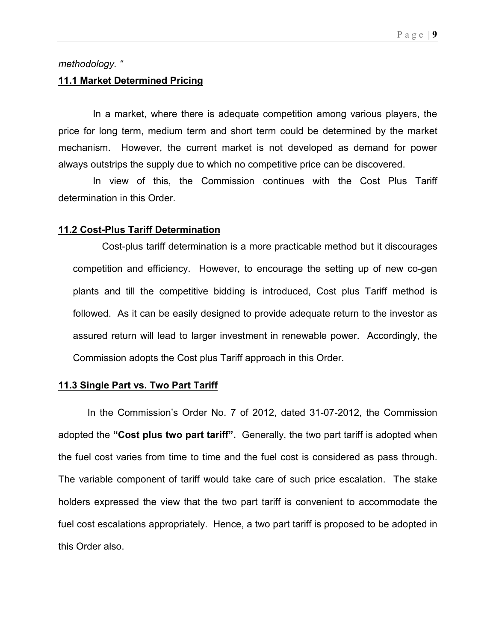## methodology. "

## 11.1 Market Determined Pricing

 In a market, where there is adequate competition among various players, the price for long term, medium term and short term could be determined by the market mechanism. However, the current market is not developed as demand for power always outstrips the supply due to which no competitive price can be discovered.

 In view of this, the Commission continues with the Cost Plus Tariff determination in this Order.

#### 11.2 Cost-Plus Tariff Determination

Cost-plus tariff determination is a more practicable method but it discourages competition and efficiency. However, to encourage the setting up of new co-gen plants and till the competitive bidding is introduced, Cost plus Tariff method is followed. As it can be easily designed to provide adequate return to the investor as assured return will lead to larger investment in renewable power. Accordingly, the Commission adopts the Cost plus Tariff approach in this Order.

#### 11.3 Single Part vs. Two Part Tariff

 In the Commission's Order No. 7 of 2012, dated 31-07-2012, the Commission adopted the "Cost plus two part tariff". Generally, the two part tariff is adopted when the fuel cost varies from time to time and the fuel cost is considered as pass through. The variable component of tariff would take care of such price escalation. The stake holders expressed the view that the two part tariff is convenient to accommodate the fuel cost escalations appropriately. Hence, a two part tariff is proposed to be adopted in this Order also.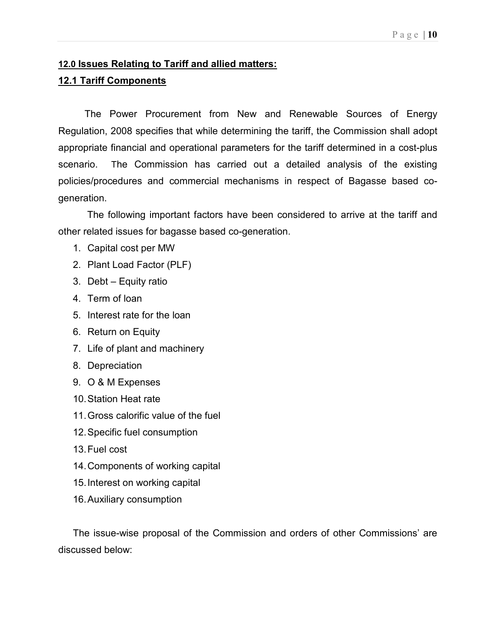# 12.0 Issues Relating to Tariff and allied matters:

# 12.1 Tariff Components

The Power Procurement from New and Renewable Sources of Energy Regulation, 2008 specifies that while determining the tariff, the Commission shall adopt appropriate financial and operational parameters for the tariff determined in a cost-plus scenario. The Commission has carried out a detailed analysis of the existing policies/procedures and commercial mechanisms in respect of Bagasse based cogeneration.

 The following important factors have been considered to arrive at the tariff and other related issues for bagasse based co-generation.

- 1. Capital cost per MW
- 2. Plant Load Factor (PLF)
- 3. Debt Equity ratio
- 4. Term of loan
- 5. Interest rate for the loan
- 6. Return on Equity
- 7. Life of plant and machinery
- 8. Depreciation
- 9. O & M Expenses
- 10. Station Heat rate
- 11. Gross calorific value of the fuel
- 12. Specific fuel consumption
- 13. Fuel cost
- 14. Components of working capital
- 15. Interest on working capital
- 16. Auxiliary consumption

The issue-wise proposal of the Commission and orders of other Commissions' are discussed below: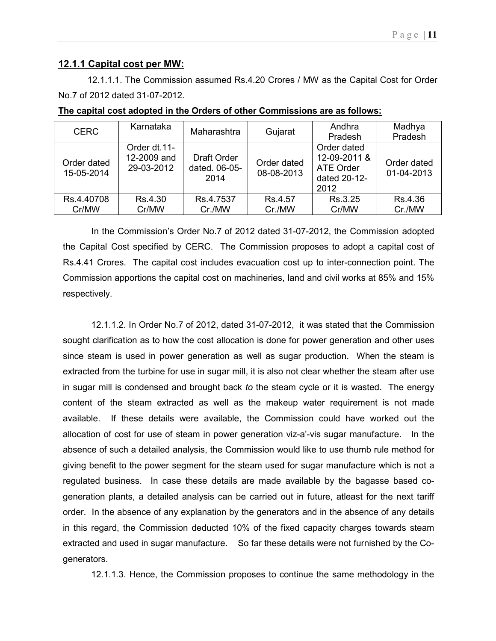### 12.1.1 Capital cost per MW:

12.1.1.1. The Commission assumed Rs.4.20 Crores / MW as the Capital Cost for Order No.7 of 2012 dated 31-07-2012.

| <b>CERC</b>               | Karnataka                                 | Maharashtra                                 | Gujarat                   | Andhra<br>Pradesh                                                       | Madhya<br>Pradesh         |
|---------------------------|-------------------------------------------|---------------------------------------------|---------------------------|-------------------------------------------------------------------------|---------------------------|
| Order dated<br>15-05-2014 | Order dt.11-<br>12-2009 and<br>29-03-2012 | <b>Draft Order</b><br>dated. 06-05-<br>2014 | Order dated<br>08-08-2013 | Order dated<br>12-09-2011 &<br><b>ATE Order</b><br>dated 20-12-<br>2012 | Order dated<br>01-04-2013 |
| Rs.4.40708                | Rs.4.30                                   | Rs.4.7537                                   | Rs.4.57                   | Rs.3.25                                                                 | Rs.4.36                   |
| Cr/MW                     | Cr/MW                                     | Cr./MW                                      | Cr./MW                    | Cr/MW                                                                   | Cr./MW                    |

| The capital cost adopted in the Orders of other Commissions are as follows: |
|-----------------------------------------------------------------------------|
|-----------------------------------------------------------------------------|

In the Commission's Order No.7 of 2012 dated 31-07-2012, the Commission adopted the Capital Cost specified by CERC. The Commission proposes to adopt a capital cost of Rs.4.41 Crores. The capital cost includes evacuation cost up to inter-connection point. The Commission apportions the capital cost on machineries, land and civil works at 85% and 15% respectively.

12.1.1.2. In Order No.7 of 2012, dated 31-07-2012, it was stated that the Commission sought clarification as to how the cost allocation is done for power generation and other uses since steam is used in power generation as well as sugar production. When the steam is extracted from the turbine for use in sugar mill, it is also not clear whether the steam after use in sugar mill is condensed and brought back to the steam cycle or it is wasted. The energy content of the steam extracted as well as the makeup water requirement is not made available. If these details were available, the Commission could have worked out the allocation of cost for use of steam in power generation viz-a'-vis sugar manufacture. In the absence of such a detailed analysis, the Commission would like to use thumb rule method for giving benefit to the power segment for the steam used for sugar manufacture which is not a regulated business. In case these details are made available by the bagasse based cogeneration plants, a detailed analysis can be carried out in future, atleast for the next tariff order. In the absence of any explanation by the generators and in the absence of any details in this regard, the Commission deducted 10% of the fixed capacity charges towards steam extracted and used in sugar manufacture. So far these details were not furnished by the Cogenerators.

12.1.1.3. Hence, the Commission proposes to continue the same methodology in the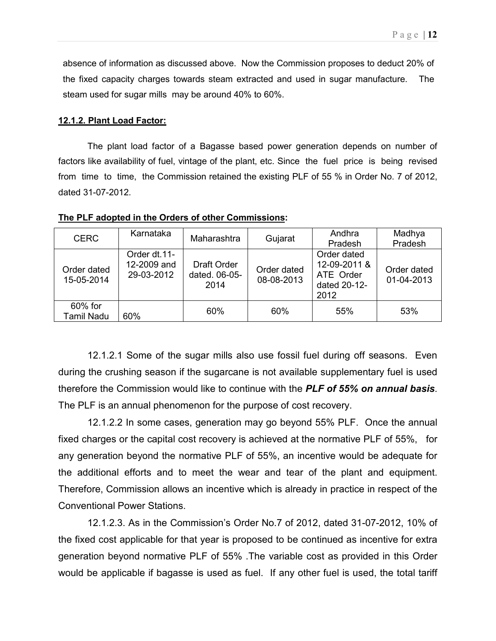absence of information as discussed above. Now the Commission proposes to deduct 20% of the fixed capacity charges towards steam extracted and used in sugar manufacture. The steam used for sugar mills may be around 40% to 60%.

#### 12.1.2. Plant Load Factor:

The plant load factor of a Bagasse based power generation depends on number of factors like availability of fuel, vintage of the plant, etc. Since the fuel price is being revised from time to time, the Commission retained the existing PLF of 55 % in Order No. 7 of 2012, dated 31-07-2012.

| <b>CERC</b>               | Karnataka                                 | Maharashtra                          | Gujarat                   | Andhra<br>Pradesh                                                | Madhya<br>Pradesh         |
|---------------------------|-------------------------------------------|--------------------------------------|---------------------------|------------------------------------------------------------------|---------------------------|
| Order dated<br>15-05-2014 | Order dt.11-<br>12-2009 and<br>29-03-2012 | Draft Order<br>dated, 06-05-<br>2014 | Order dated<br>08-08-2013 | Order dated<br>12-09-2011 &<br>ATE Order<br>dated 20-12-<br>2012 | Order dated<br>01-04-2013 |
| 60% for<br>Tamil Nadu     | 60%                                       | 60%                                  | 60%                       | 55%                                                              | 53%                       |

#### The PLF adopted in the Orders of other Commissions:

12.1.2.1 Some of the sugar mills also use fossil fuel during off seasons. Even during the crushing season if the sugarcane is not available supplementary fuel is used therefore the Commission would like to continue with the **PLF of 55% on annual basis.** The PLF is an annual phenomenon for the purpose of cost recovery.

12.1.2.2 In some cases, generation may go beyond 55% PLF. Once the annual fixed charges or the capital cost recovery is achieved at the normative PLF of 55%, for any generation beyond the normative PLF of 55%, an incentive would be adequate for the additional efforts and to meet the wear and tear of the plant and equipment. Therefore, Commission allows an incentive which is already in practice in respect of the Conventional Power Stations.

12.1.2.3. As in the Commission's Order No.7 of 2012, dated 31-07-2012, 10% of the fixed cost applicable for that year is proposed to be continued as incentive for extra generation beyond normative PLF of 55% .The variable cost as provided in this Order would be applicable if bagasse is used as fuel. If any other fuel is used, the total tariff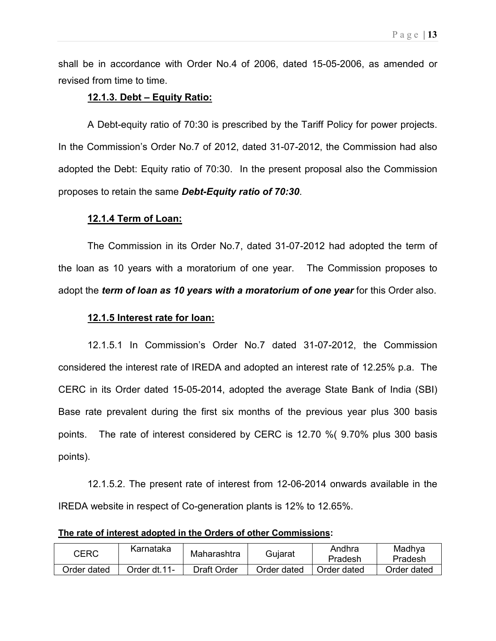shall be in accordance with Order No.4 of 2006, dated 15-05-2006, as amended or revised from time to time.

### 12.1.3. Debt – Equity Ratio:

 A Debt-equity ratio of 70:30 is prescribed by the Tariff Policy for power projects. In the Commission's Order No.7 of 2012, dated 31-07-2012, the Commission had also adopted the Debt: Equity ratio of 70:30. In the present proposal also the Commission proposes to retain the same Debt-Equity ratio of 70:30.

### 12.1.4 Term of Loan:

 The Commission in its Order No.7, dated 31-07-2012 had adopted the term of the loan as 10 years with a moratorium of one year. The Commission proposes to adopt the term of loan as 10 years with a moratorium of one year for this Order also.

### 12.1.5 Interest rate for loan:

12.1.5.1 In Commission's Order No.7 dated 31-07-2012, the Commission considered the interest rate of IREDA and adopted an interest rate of 12.25% p.a. The CERC in its Order dated 15-05-2014, adopted the average State Bank of India (SBI) Base rate prevalent during the first six months of the previous year plus 300 basis points. The rate of interest considered by CERC is 12.70 %( 9.70% plus 300 basis points).

12.1.5.2. The present rate of interest from 12-06-2014 onwards available in the IREDA website in respect of Co-generation plants is 12% to 12.65%.

The rate of interest adopted in the Orders of other Commissions:

| <b>CERC</b> | Karnataka      | Maharashtra | Gujarat     | Andhra<br>Pradesh | Madhya<br>Pradesh |
|-------------|----------------|-------------|-------------|-------------------|-------------------|
| Order dated | -11- Order dt. | Draft Order | Order dated | Order dated       | Order dated       |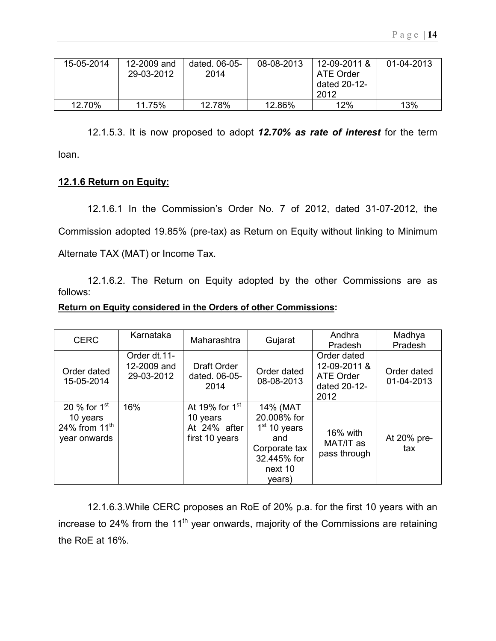| 15-05-2014 | 12-2009 and<br>29-03-2012 | dated. 06-05-<br>2014 | 08-08-2013 | 12-09-2011 &<br>ATE Order<br>dated 20-12-<br>2012 | 01-04-2013 |
|------------|---------------------------|-----------------------|------------|---------------------------------------------------|------------|
| 12.70%     | 11.75%                    | 12.78%                | 12.86%     | 12%                                               | 13%        |

12.1.5.3. It is now proposed to adopt 12.70% as rate of interest for the term loan.

# 12.1.6 Return on Equity:

12.1.6.1 In the Commission's Order No. 7 of 2012, dated 31-07-2012, the Commission adopted 19.85% (pre-tax) as Return on Equity without linking to Minimum Alternate TAX (MAT) or Income Tax.

12.1.6.2. The Return on Equity adopted by the other Commissions are as follows:

### Return on Equity considered in the Orders of other Commissions:

| <b>CERC</b>                                                   | Karnataka                                 | Maharashtra                                                    | Gujarat                                                                                               | Andhra                                                           | Madhya                    |
|---------------------------------------------------------------|-------------------------------------------|----------------------------------------------------------------|-------------------------------------------------------------------------------------------------------|------------------------------------------------------------------|---------------------------|
|                                                               |                                           |                                                                |                                                                                                       | Pradesh                                                          | Pradesh                   |
| Order dated<br>15-05-2014                                     | Order dt.11-<br>12-2009 and<br>29-03-2012 | Draft Order<br>dated, 06-05-<br>2014                           | Order dated<br>08-08-2013                                                                             | Order dated<br>12-09-2011 &<br>ATE Order<br>dated 20-12-<br>2012 | Order dated<br>01-04-2013 |
| 20 % for $1st$<br>10 years<br>24% from $11th$<br>year onwards | 16%                                       | At 19% for $1st$<br>10 years<br>At 24% after<br>first 10 years | 14% (MAT<br>20.008% for<br>$1st$ 10 years<br>and<br>Corporate tax<br>32.445% for<br>next 10<br>years) | 16% with<br>MAT/IT as<br>pass through                            | At 20% pre-<br>tax        |

12.1.6.3.While CERC proposes an RoE of 20% p.a. for the first 10 years with an increase to 24% from the 11<sup>th</sup> year onwards, majority of the Commissions are retaining the RoE at 16%.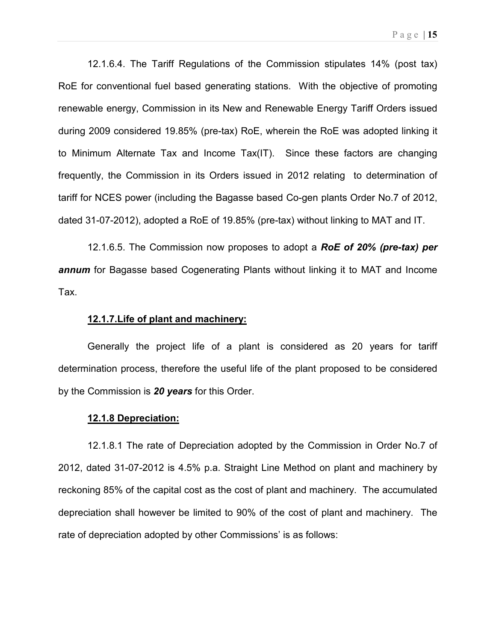12.1.6.4. The Tariff Regulations of the Commission stipulates 14% (post tax) RoE for conventional fuel based generating stations. With the objective of promoting renewable energy, Commission in its New and Renewable Energy Tariff Orders issued during 2009 considered 19.85% (pre-tax) RoE, wherein the RoE was adopted linking it to Minimum Alternate Tax and Income Tax(IT). Since these factors are changing frequently, the Commission in its Orders issued in 2012 relating to determination of tariff for NCES power (including the Bagasse based Co-gen plants Order No.7 of 2012, dated 31-07-2012), adopted a RoE of 19.85% (pre-tax) without linking to MAT and IT.

12.1.6.5. The Commission now proposes to adopt a RoE of 20% (pre-tax) per annum for Bagasse based Cogenerating Plants without linking it to MAT and Income Tax.

#### 12.1.7.Life of plant and machinery:

Generally the project life of a plant is considered as 20 years for tariff determination process, therefore the useful life of the plant proposed to be considered by the Commission is 20 years for this Order.

#### 12.1.8 Depreciation:

12.1.8.1 The rate of Depreciation adopted by the Commission in Order No.7 of 2012, dated 31-07-2012 is 4.5% p.a. Straight Line Method on plant and machinery by reckoning 85% of the capital cost as the cost of plant and machinery. The accumulated depreciation shall however be limited to 90% of the cost of plant and machinery. The rate of depreciation adopted by other Commissions' is as follows: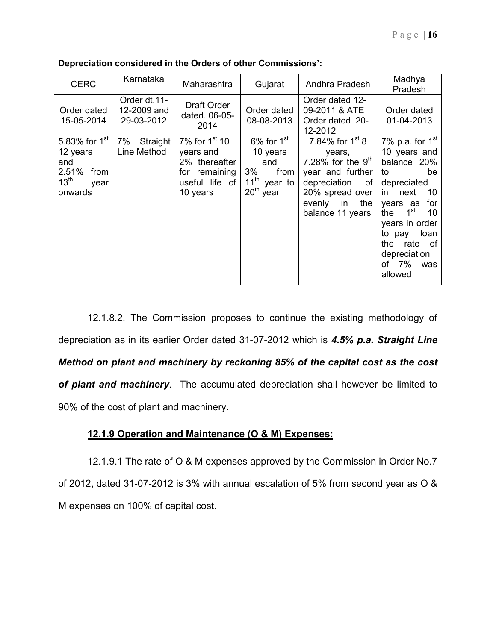| <b>CERC</b>                                                                                    | Karnataka                                 | Maharashtra                                                                                        | Gujarat                                                                              | Andhra Pradesh                                                                                                                                              | Madhya<br>Pradesh                                                                                                                                                                                                                                          |
|------------------------------------------------------------------------------------------------|-------------------------------------------|----------------------------------------------------------------------------------------------------|--------------------------------------------------------------------------------------|-------------------------------------------------------------------------------------------------------------------------------------------------------------|------------------------------------------------------------------------------------------------------------------------------------------------------------------------------------------------------------------------------------------------------------|
| Order dated<br>15-05-2014                                                                      | Order dt.11-<br>12-2009 and<br>29-03-2012 | Draft Order<br>dated. 06-05-<br>2014                                                               | Order dated<br>08-08-2013                                                            | Order dated 12-<br>09-2011 & ATE<br>Order dated 20-<br>12-2012                                                                                              | Order dated<br>01-04-2013                                                                                                                                                                                                                                  |
| 5.83% for $1^{\rm st}$<br>12 years<br>and<br>2.51% from<br>13 <sup>th</sup><br>year<br>onwards | 7%<br>Straight<br>Line Method             | 7% for $1^{st}$ 10<br>years and<br>2% thereafter<br>remaining<br>for<br>useful life of<br>10 years | $6\%$ for $1st$<br>10 years<br>and<br>$3\%$<br>from<br>$11th$ year to<br>$20th$ year | 7.84% for $1^{st}$ 8<br>years,<br>7.28% for the $9th$<br>year and further<br>depreciation<br>of.<br>20% spread over<br>evenly in<br>the<br>balance 11 years | 7% p.a. for $1st$<br>10 years and<br>balance 20%<br>be<br>to<br>depreciated<br>in.<br>10<br>next<br>for<br>years as<br>1 <sup>st</sup><br>10<br>the<br>years in order<br>loan<br>to pay<br>the<br>rate<br>of<br>depreciation<br>7%<br>οf<br>was<br>allowed |

Depreciation considered in the Orders of other Commissions':

12.1.8.2. The Commission proposes to continue the existing methodology of depreciation as in its earlier Order dated 31-07-2012 which is 4.5% p.a. Straight Line Method on plant and machinery by reckoning 85% of the capital cost as the cost of plant and machinery. The accumulated depreciation shall however be limited to 90% of the cost of plant and machinery.

### 12.1.9 Operation and Maintenance (O & M) Expenses:

12.1.9.1 The rate of O & M expenses approved by the Commission in Order No.7 of 2012, dated 31-07-2012 is 3% with annual escalation of 5% from second year as O & M expenses on 100% of capital cost.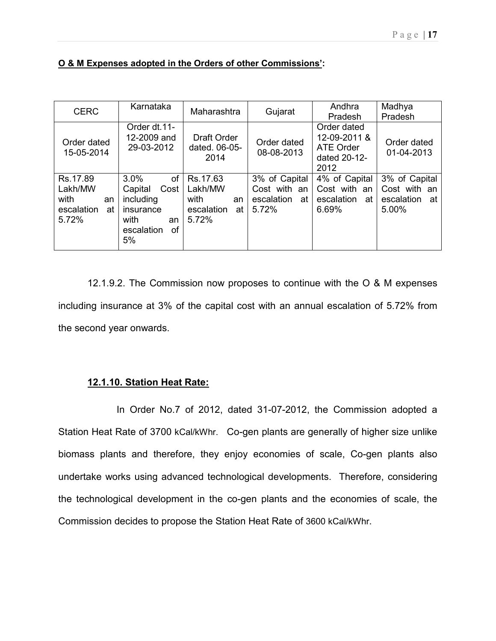| <b>CERC</b>                                                    | Karnataka                                                                                              | Maharashtra                                                    | Gujarat                                                    | Andhra<br>Pradesh                                                | Madhya<br>Pradesh                                          |
|----------------------------------------------------------------|--------------------------------------------------------------------------------------------------------|----------------------------------------------------------------|------------------------------------------------------------|------------------------------------------------------------------|------------------------------------------------------------|
| Order dated<br>15-05-2014                                      | Order dt.11-<br>12-2009 and<br>29-03-2012                                                              | <b>Draft Order</b><br>dated, 06-05-<br>2014                    | Order dated<br>08-08-2013                                  | Order dated<br>12-09-2011 &<br>ATE Order<br>dated 20-12-<br>2012 | Order dated<br>01-04-2013                                  |
| Rs.17.89<br>Lakh/MW<br>with<br>an<br>escalation<br>at<br>5.72% | 3.0%<br><b>of</b><br>Capital<br>Cost<br>including<br>insurance<br>with<br>an<br>escalation<br>οf<br>5% | Rs.17.63<br>Lakh/MW<br>with<br>an<br>escalation<br>at<br>5.72% | 3% of Capital<br>Cost with an<br>escalation<br>at<br>5.72% | 4% of Capital<br>Cost with an<br>escalation<br>at<br>6.69%       | 3% of Capital<br>Cost with an<br>escalation<br>at<br>5.00% |

### O & M Expenses adopted in the Orders of other Commissions':

12.1.9.2. The Commission now proposes to continue with the O & M expenses including insurance at 3% of the capital cost with an annual escalation of 5.72% from the second year onwards.

### 12.1.10. Station Heat Rate:

 In Order No.7 of 2012, dated 31-07-2012, the Commission adopted a Station Heat Rate of 3700 kCal/kWhr. Co-gen plants are generally of higher size unlike biomass plants and therefore, they enjoy economies of scale, Co-gen plants also undertake works using advanced technological developments. Therefore, considering the technological development in the co-gen plants and the economies of scale, the Commission decides to propose the Station Heat Rate of 3600 kCal/kWhr.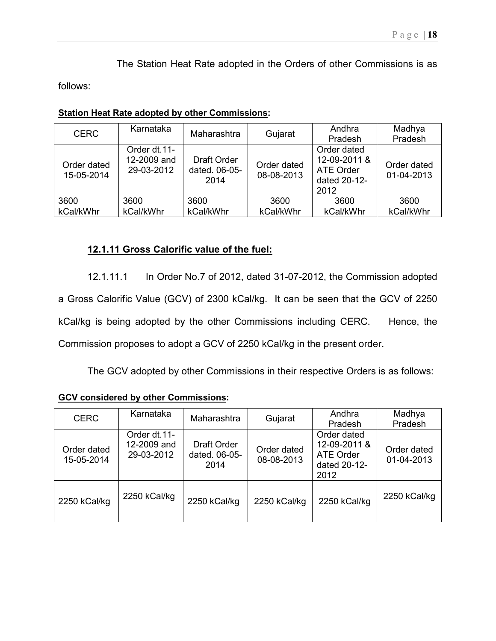The Station Heat Rate adopted in the Orders of other Commissions is as

follows:

| <b>Station Heat Rate adopted by other Commissions:</b> |
|--------------------------------------------------------|
|--------------------------------------------------------|

| <b>CERC</b>               | Karnataka                                 | Maharashtra                          | Gujarat                   | Andhra<br>Pradesh                                                       | Madhya<br>Pradesh         |
|---------------------------|-------------------------------------------|--------------------------------------|---------------------------|-------------------------------------------------------------------------|---------------------------|
| Order dated<br>15-05-2014 | Order dt.11-<br>12-2009 and<br>29-03-2012 | Draft Order<br>dated. 06-05-<br>2014 | Order dated<br>08-08-2013 | Order dated<br>12-09-2011 &<br><b>ATE Order</b><br>dated 20-12-<br>2012 | Order dated<br>01-04-2013 |
| 3600                      | 3600                                      | 3600                                 | 3600                      | 3600                                                                    | 3600                      |
| kCal/kWhr                 | kCal/kWhr                                 | kCal/kWhr                            | kCal/kWhr                 | kCal/kWhr                                                               | kCal/kWhr                 |

# 12.1.11 Gross Calorific value of the fuel:

12.1.11.1 In Order No.7 of 2012, dated 31-07-2012, the Commission adopted a Gross Calorific Value (GCV) of 2300 kCal/kg. It can be seen that the GCV of 2250 kCal/kg is being adopted by the other Commissions including CERC. Hence, the Commission proposes to adopt a GCV of 2250 kCal/kg in the present order.

The GCV adopted by other Commissions in their respective Orders is as follows:

### GCV considered by other Commissions:

| <b>CERC</b>               | Karnataka                                 | Maharashtra                          | Gujarat                   | Andhra<br>Pradesh                                                       | Madhya<br>Pradesh         |
|---------------------------|-------------------------------------------|--------------------------------------|---------------------------|-------------------------------------------------------------------------|---------------------------|
| Order dated<br>15-05-2014 | Order dt.11-<br>12-2009 and<br>29-03-2012 | Draft Order<br>dated. 06-05-<br>2014 | Order dated<br>08-08-2013 | Order dated<br>12-09-2011 &<br><b>ATE Order</b><br>dated 20-12-<br>2012 | Order dated<br>01-04-2013 |
| 2250 kCal/kg              | 2250 kCal/kg                              | 2250 kCal/kg                         | 2250 kCal/kg              | 2250 kCal/kg                                                            | 2250 kCal/kg              |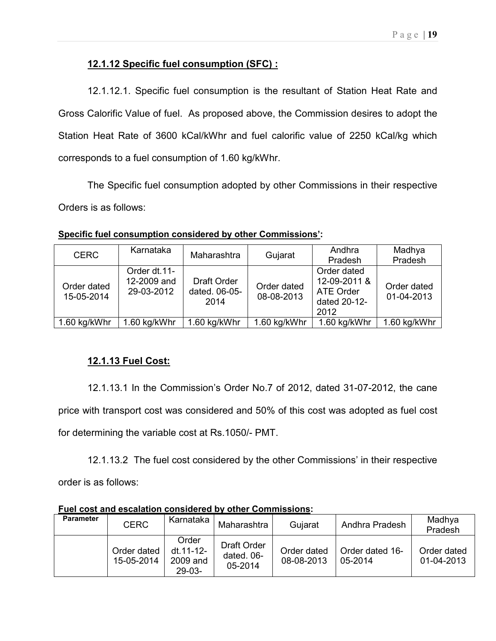# 12.1.12 Specific fuel consumption (SFC) :

12.1.12.1. Specific fuel consumption is the resultant of Station Heat Rate and Gross Calorific Value of fuel. As proposed above, the Commission desires to adopt the Station Heat Rate of 3600 kCal/kWhr and fuel calorific value of 2250 kCal/kg which corresponds to a fuel consumption of 1.60 kg/kWhr.

The Specific fuel consumption adopted by other Commissions in their respective Orders is as follows:

| <b>CERC</b>               | Karnataka                                 | Maharashtra                                 | Gujarat                   | Andhra<br>Pradesh                                                       | Madhya<br>Pradesh         |
|---------------------------|-------------------------------------------|---------------------------------------------|---------------------------|-------------------------------------------------------------------------|---------------------------|
| Order dated<br>15-05-2014 | Order dt.11-<br>12-2009 and<br>29-03-2012 | <b>Draft Order</b><br>dated. 06-05-<br>2014 | Order dated<br>08-08-2013 | Order dated<br>12-09-2011 &<br><b>ATE Order</b><br>dated 20-12-<br>2012 | Order dated<br>01-04-2013 |
| 1.60 kg/kWhr              | 1.60 kg/kWhr                              | 1.60 kg/kWhr                                | 1.60 kg/kWhr              | 1.60 kg/kWhr                                                            | 1.60 kg/kWhr              |

Specific fuel consumption considered by other Commissions':

# 12.1.13 Fuel Cost:

12.1.13.1 In the Commission's Order No.7 of 2012, dated 31-07-2012, the cane price with transport cost was considered and 50% of this cost was adopted as fuel cost for determining the variable cost at Rs.1050/- PMT.

12.1.13.2 The fuel cost considered by the other Commissions' in their respective order is as follows:

**Parameter** CERC | Karnataka | Maharashtra | Gujarat | Andhra Pradesh | Madhya Pradesh Order dated 15-05-2014 **Order** dt.11-12- 2009 and 29-03- Draft Order dated. 06- 05-2014 Order dated 08-08-2013 Order dated 16- 05-2014 Order dated 01-04-2013

Fuel cost and escalation considered by other Commissions: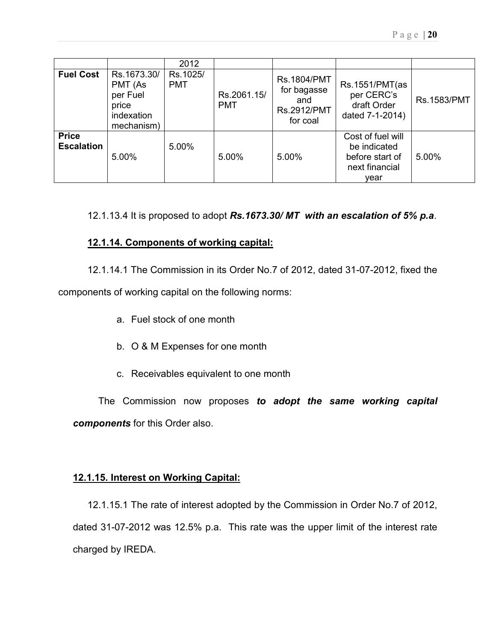|                                   |                                                                         | 2012                   |                           |                                                                     |                                                                                |                    |
|-----------------------------------|-------------------------------------------------------------------------|------------------------|---------------------------|---------------------------------------------------------------------|--------------------------------------------------------------------------------|--------------------|
| <b>Fuel Cost</b>                  | Rs.1673.30/<br>PMT (As<br>per Fuel<br>price<br>indexation<br>mechanism) | Rs.1025/<br><b>PMT</b> | Rs.2061.15/<br><b>PMT</b> | <b>Rs.1804/PMT</b><br>for bagasse<br>and<br>Rs.2912/PMT<br>for coal | Rs.1551/PMT(as<br>per CERC's<br>draft Order<br>dated 7-1-2014)                 | <b>Rs.1583/PMT</b> |
| <b>Price</b><br><b>Escalation</b> | 5.00%                                                                   | 5.00%                  | 5.00%                     | 5.00%                                                               | Cost of fuel will<br>be indicated<br>before start of<br>next financial<br>vear | 5.00%              |

12.1.13.4 It is proposed to adopt Rs.1673.30/MT with an escalation of 5% p.a.

# 12.1.14. Components of working capital:

12.1.14.1 The Commission in its Order No.7 of 2012, dated 31-07-2012, fixed the

components of working capital on the following norms:

- a. Fuel stock of one month
- b. O & M Expenses for one month
- c. Receivables equivalent to one month

The Commission now proposes to adopt the same working capital components for this Order also.

# 12.1.15. Interest on Working Capital:

 12.1.15.1 The rate of interest adopted by the Commission in Order No.7 of 2012, dated 31-07-2012 was 12.5% p.a. This rate was the upper limit of the interest rate charged by IREDA.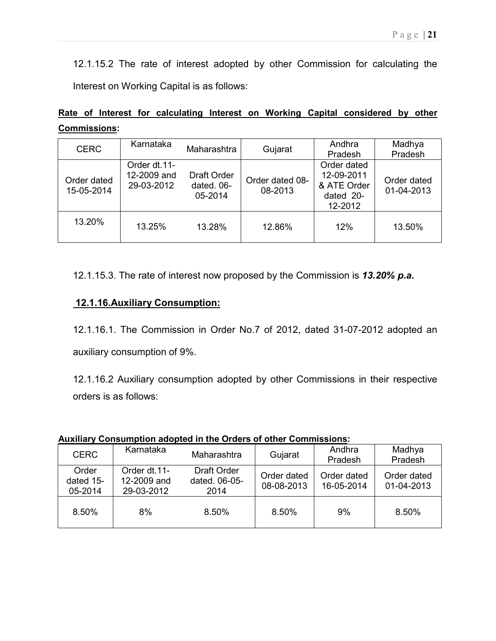12.1.15.2 The rate of interest adopted by other Commission for calculating the Interest on Working Capital is as follows:

|  |                     |  |  |  | Rate of Interest for calculating Interest on Working Capital considered by other |  |
|--|---------------------|--|--|--|----------------------------------------------------------------------------------|--|
|  | <b>Commissions:</b> |  |  |  |                                                                                  |  |

| <b>CERC</b>               | Karnataka                                 | Maharashtra                                 | Gujarat                    | Andhra<br>Pradesh                                                | Madhya<br>Pradesh         |
|---------------------------|-------------------------------------------|---------------------------------------------|----------------------------|------------------------------------------------------------------|---------------------------|
| Order dated<br>15-05-2014 | Order dt.11-<br>12-2009 and<br>29-03-2012 | <b>Draft Order</b><br>dated, 06-<br>05-2014 | Order dated 08-<br>08-2013 | Order dated<br>12-09-2011<br>& ATE Order<br>dated 20-<br>12-2012 | Order dated<br>01-04-2013 |
| 13.20%                    | 13.25%                                    | 13.28%                                      | 12.86%                     | 12%                                                              | 13.50%                    |

12.1.15.3. The rate of interest now proposed by the Commission is 13.20% p.a.

# 12.1.16.Auxiliary Consumption:

12.1.16.1. The Commission in Order No.7 of 2012, dated 31-07-2012 adopted an auxiliary consumption of 9%.

12.1.16.2 Auxiliary consumption adopted by other Commissions in their respective orders is as follows:

| AUAINGI Y OONGUNNUUN QUODIGU IN UNG ONGHO ON OUNGI OONININGSIONG. |                                           |                                      |                           |                           |                           |  |  |  |  |  |  |  |
|-------------------------------------------------------------------|-------------------------------------------|--------------------------------------|---------------------------|---------------------------|---------------------------|--|--|--|--|--|--|--|
| <b>CERC</b>                                                       | Karnataka                                 | Maharashtra                          | Gujarat                   | Andhra<br>Pradesh         | Madhya<br>Pradesh         |  |  |  |  |  |  |  |
| Order<br>dated 15-<br>05-2014                                     | Order dt.11-<br>12-2009 and<br>29-03-2012 | Draft Order<br>dated. 06-05-<br>2014 | Order dated<br>08-08-2013 | Order dated<br>16-05-2014 | Order dated<br>01-04-2013 |  |  |  |  |  |  |  |
| 8.50%                                                             | 8%                                        | 8.50%                                | 8.50%                     | 9%                        | 8.50%                     |  |  |  |  |  |  |  |

# Auxiliary Consumption adopted in the Orders of other Commissions: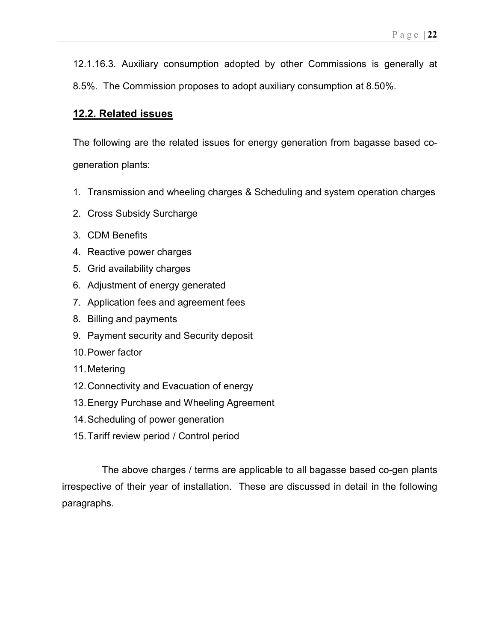12.1.16.3. Auxiliary consumption adopted by other Commissions is generally at 8.5%. The Commission proposes to adopt auxiliary consumption at 8.50%.

# 12.2. Related issues

The following are the related issues for energy generation from bagasse based cogeneration plants:

- 1. Transmission and wheeling charges & Scheduling and system operation charges
- 2. Cross Subsidy Surcharge
- 3. CDM Benefits
- 4. Reactive power charges
- 5. Grid availability charges
- 6. Adjustment of energy generated
- 7. Application fees and agreement fees
- 8. Billing and payments
- 9. Payment security and Security deposit
- 10. Power factor
- 11. Metering
- 12. Connectivity and Evacuation of energy
- 13. Energy Purchase and Wheeling Agreement
- 14. Scheduling of power generation
- 15. Tariff review period / Control period

The above charges / terms are applicable to all bagasse based co-gen plants irrespective of their year of installation. These are discussed in detail in the following paragraphs.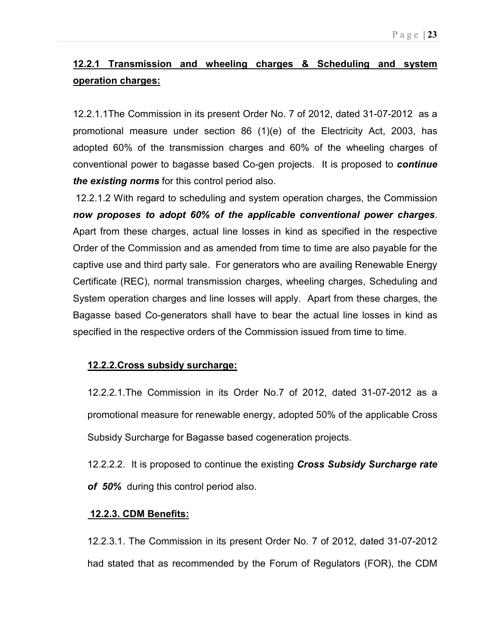# 12.2.1 Transmission and wheeling charges & Scheduling and system operation charges:

12.2.1.1The Commission in its present Order No. 7 of 2012, dated 31-07-2012 as a promotional measure under section 86 (1)(e) of the Electricity Act, 2003, has adopted 60% of the transmission charges and 60% of the wheeling charges of conventional power to bagasse based Co-gen projects. It is proposed to continue the existing norms for this control period also.

 12.2.1.2 With regard to scheduling and system operation charges, the Commission now proposes to adopt 60% of the applicable conventional power charges. Apart from these charges, actual line losses in kind as specified in the respective Order of the Commission and as amended from time to time are also payable for the captive use and third party sale. For generators who are availing Renewable Energy Certificate (REC), normal transmission charges, wheeling charges, Scheduling and System operation charges and line losses will apply. Apart from these charges, the Bagasse based Co-generators shall have to bear the actual line losses in kind as specified in the respective orders of the Commission issued from time to time.

# 12.2.2.Cross subsidy surcharge:

12.2.2.1.The Commission in its Order No.7 of 2012, dated 31-07-2012 as a promotional measure for renewable energy, adopted 50% of the applicable Cross Subsidy Surcharge for Bagasse based cogeneration projects.

12.2.2.2. It is proposed to continue the existing **Cross Subsidy Surcharge rate** of 50% during this control period also.

# 12.2.3. CDM Benefits:

12.2.3.1. The Commission in its present Order No. 7 of 2012, dated 31-07-2012 had stated that as recommended by the Forum of Regulators (FOR), the CDM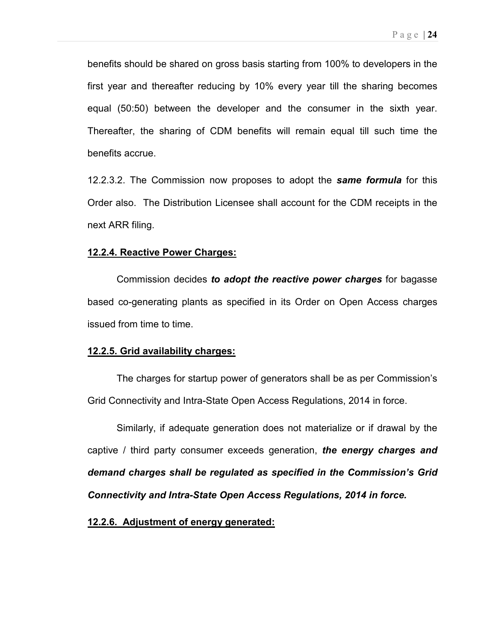benefits should be shared on gross basis starting from 100% to developers in the first year and thereafter reducing by 10% every year till the sharing becomes equal (50:50) between the developer and the consumer in the sixth year. Thereafter, the sharing of CDM benefits will remain equal till such time the benefits accrue.

12.2.3.2. The Commission now proposes to adopt the **same formula** for this Order also. The Distribution Licensee shall account for the CDM receipts in the next ARR filing.

#### 12.2.4. Reactive Power Charges:

Commission decides to adopt the reactive power charges for bagasse based co-generating plants as specified in its Order on Open Access charges issued from time to time.

### 12.2.5. Grid availability charges:

 The charges for startup power of generators shall be as per Commission's Grid Connectivity and Intra-State Open Access Regulations, 2014 in force.

 Similarly, if adequate generation does not materialize or if drawal by the captive / third party consumer exceeds generation, the energy charges and demand charges shall be regulated as specified in the Commission's Grid Connectivity and Intra-State Open Access Regulations, 2014 in force.

#### 12.2.6. Adjustment of energy generated: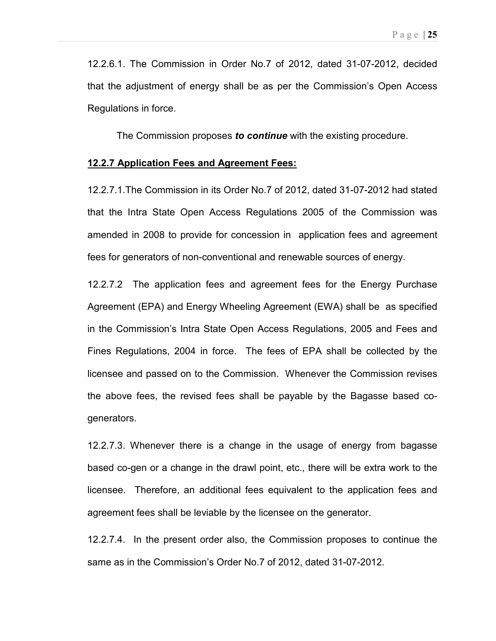12.2.6.1. The Commission in Order No.7 of 2012, dated 31-07-2012, decided that the adjustment of energy shall be as per the Commission's Open Access Regulations in force.

The Commission proposes to continue with the existing procedure.

#### 12.2.7 Application Fees and Agreement Fees:

12.2.7.1.The Commission in its Order No.7 of 2012, dated 31-07-2012 had stated that the Intra State Open Access Regulations 2005 of the Commission was amended in 2008 to provide for concession in application fees and agreement fees for generators of non-conventional and renewable sources of energy.

12.2.7.2 The application fees and agreement fees for the Energy Purchase Agreement (EPA) and Energy Wheeling Agreement (EWA) shall be as specified in the Commission's Intra State Open Access Regulations, 2005 and Fees and Fines Regulations, 2004 in force. The fees of EPA shall be collected by the licensee and passed on to the Commission. Whenever the Commission revises the above fees, the revised fees shall be payable by the Bagasse based cogenerators.

12.2.7.3. Whenever there is a change in the usage of energy from bagasse based co-gen or a change in the drawl point, etc., there will be extra work to the licensee. Therefore, an additional fees equivalent to the application fees and agreement fees shall be leviable by the licensee on the generator.

12.2.7.4. In the present order also, the Commission proposes to continue the same as in the Commission's Order No.7 of 2012, dated 31-07-2012.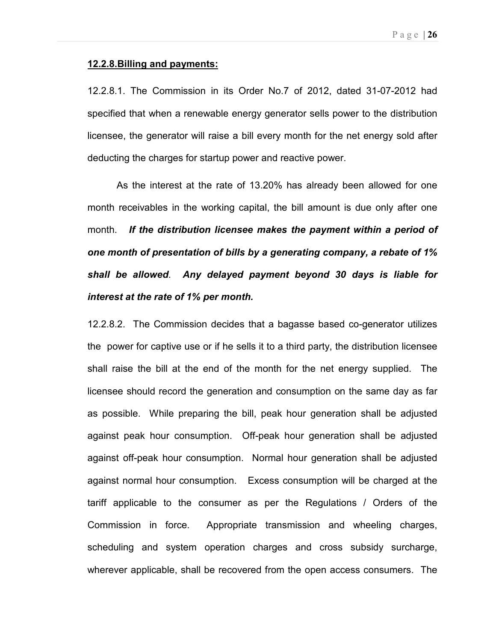#### 12.2.8.Billing and payments:

12.2.8.1. The Commission in its Order No.7 of 2012, dated 31-07-2012 had specified that when a renewable energy generator sells power to the distribution licensee, the generator will raise a bill every month for the net energy sold after deducting the charges for startup power and reactive power.

As the interest at the rate of 13.20% has already been allowed for one month receivables in the working capital, the bill amount is due only after one month. If the distribution licensee makes the payment within a period of one month of presentation of bills by a generating company, a rebate of 1% shall be allowed. Any delayed payment beyond 30 days is liable for interest at the rate of 1% per month.

12.2.8.2. The Commission decides that a bagasse based co-generator utilizes the power for captive use or if he sells it to a third party, the distribution licensee shall raise the bill at the end of the month for the net energy supplied. The licensee should record the generation and consumption on the same day as far as possible. While preparing the bill, peak hour generation shall be adjusted against peak hour consumption. Off-peak hour generation shall be adjusted against off-peak hour consumption. Normal hour generation shall be adjusted against normal hour consumption. Excess consumption will be charged at the tariff applicable to the consumer as per the Regulations / Orders of the Commission in force. Appropriate transmission and wheeling charges, scheduling and system operation charges and cross subsidy surcharge, wherever applicable, shall be recovered from the open access consumers. The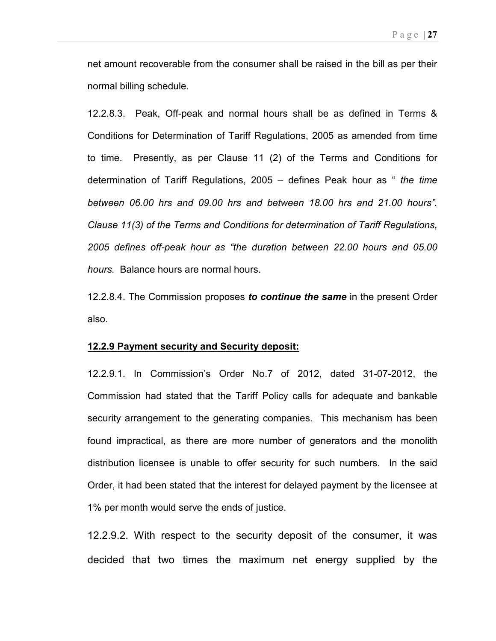net amount recoverable from the consumer shall be raised in the bill as per their normal billing schedule.

12.2.8.3. Peak, Off-peak and normal hours shall be as defined in Terms & Conditions for Determination of Tariff Regulations, 2005 as amended from time to time. Presently, as per Clause 11 (2) of the Terms and Conditions for determination of Tariff Regulations, 2005 – defines Peak hour as  $\degree$  the time between 06.00 hrs and 09.00 hrs and between 18.00 hrs and 21.00 hours". Clause 11(3) of the Terms and Conditions for determination of Tariff Regulations, 2005 defines off-peak hour as "the duration between 22.00 hours and 05.00 hours. Balance hours are normal hours.

12.2.8.4. The Commission proposes to continue the same in the present Order also.

#### 12.2.9 Payment security and Security deposit:

12.2.9.1. In Commission's Order No.7 of 2012, dated 31-07-2012, the Commission had stated that the Tariff Policy calls for adequate and bankable security arrangement to the generating companies. This mechanism has been found impractical, as there are more number of generators and the monolith distribution licensee is unable to offer security for such numbers. In the said Order, it had been stated that the interest for delayed payment by the licensee at 1% per month would serve the ends of justice.

12.2.9.2. With respect to the security deposit of the consumer, it was decided that two times the maximum net energy supplied by the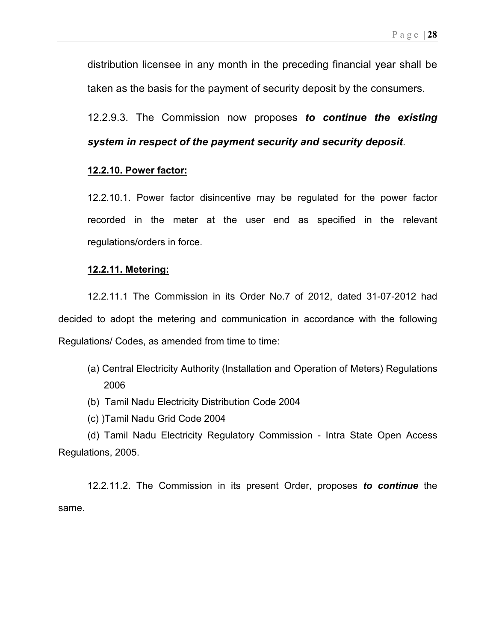distribution licensee in any month in the preceding financial year shall be taken as the basis for the payment of security deposit by the consumers.

12.2.9.3. The Commission now proposes to continue the existing system in respect of the payment security and security deposit.

# 12.2.10. Power factor:

12.2.10.1. Power factor disincentive may be regulated for the power factor recorded in the meter at the user end as specified in the relevant regulations/orders in force.

### 12.2.11. Metering:

12.2.11.1 The Commission in its Order No.7 of 2012, dated 31-07-2012 had decided to adopt the metering and communication in accordance with the following Regulations/ Codes, as amended from time to time:

- (a) Central Electricity Authority (Installation and Operation of Meters) Regulations 2006
- (b) Tamil Nadu Electricity Distribution Code 2004
- (c) )Tamil Nadu Grid Code 2004

(d) Tamil Nadu Electricity Regulatory Commission - Intra State Open Access Regulations, 2005.

12.2.11.2. The Commission in its present Order, proposes to continue the same.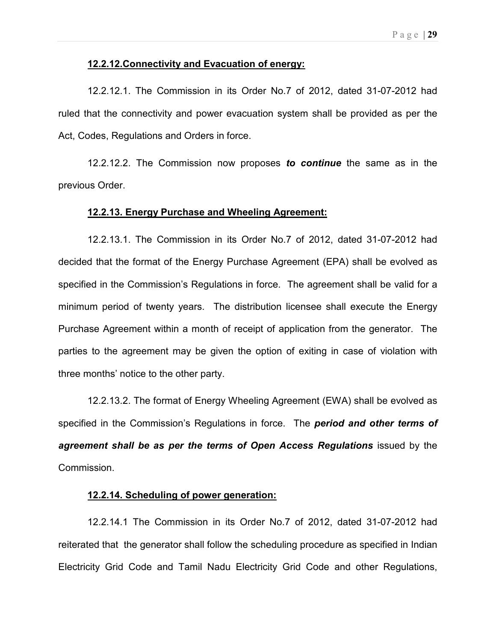### 12.2.12.Connectivity and Evacuation of energy:

12.2.12.1. The Commission in its Order No.7 of 2012, dated 31-07-2012 had ruled that the connectivity and power evacuation system shall be provided as per the Act, Codes, Regulations and Orders in force.

12.2.12.2. The Commission now proposes to continue the same as in the previous Order.

#### 12.2.13. Energy Purchase and Wheeling Agreement:

12.2.13.1. The Commission in its Order No.7 of 2012, dated 31-07-2012 had decided that the format of the Energy Purchase Agreement (EPA) shall be evolved as specified in the Commission's Regulations in force. The agreement shall be valid for a minimum period of twenty years. The distribution licensee shall execute the Energy Purchase Agreement within a month of receipt of application from the generator. The parties to the agreement may be given the option of exiting in case of violation with three months' notice to the other party.

12.2.13.2. The format of Energy Wheeling Agreement (EWA) shall be evolved as specified in the Commission's Regulations in force. The **period and other terms of** agreement shall be as per the terms of Open Access Regulations issued by the Commission.

### 12.2.14. Scheduling of power generation:

12.2.14.1 The Commission in its Order No.7 of 2012, dated 31-07-2012 had reiterated that the generator shall follow the scheduling procedure as specified in Indian Electricity Grid Code and Tamil Nadu Electricity Grid Code and other Regulations,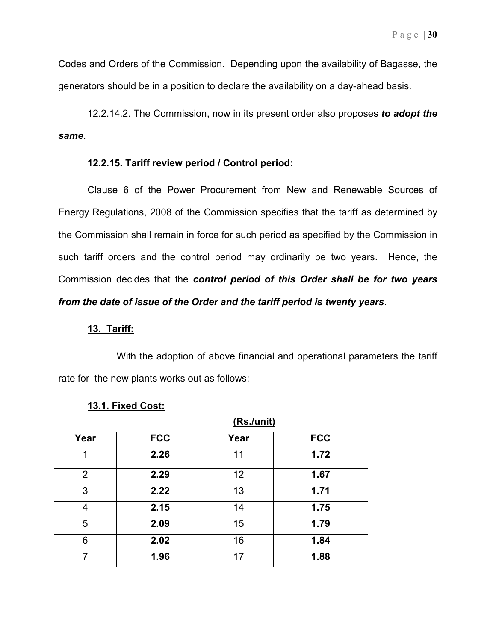Codes and Orders of the Commission. Depending upon the availability of Bagasse, the generators should be in a position to declare the availability on a day-ahead basis.

12.2.14.2. The Commission, now in its present order also proposes to adopt the same.

### 12.2.15. Tariff review period / Control period:

Clause 6 of the Power Procurement from New and Renewable Sources of Energy Regulations, 2008 of the Commission specifies that the tariff as determined by the Commission shall remain in force for such period as specified by the Commission in such tariff orders and the control period may ordinarily be two years. Hence, the Commission decides that the control period of this Order shall be for two years from the date of issue of the Order and the tariff period is twenty years.

#### 13. Tariff:

 With the adoption of above financial and operational parameters the tariff rate for the new plants works out as follows:

 $(De, l$ unit)

|                |            | <u>(RS./UIIIL)</u> |            |
|----------------|------------|--------------------|------------|
| Year           | <b>FCC</b> | Year               | <b>FCC</b> |
| 1              | 2.26       | 11                 | 1.72       |
| $\overline{2}$ | 2.29       | 12                 | 1.67       |
| 3              | 2.22       | 13                 | 1.71       |
| 4              | 2.15       | 14                 | 1.75       |
| 5              | 2.09       | 15                 | 1.79       |
| 6              | 2.02       | 16                 | 1.84       |
| 7              | 1.96       | 17                 | 1.88       |

#### 13.1. Fixed Cost: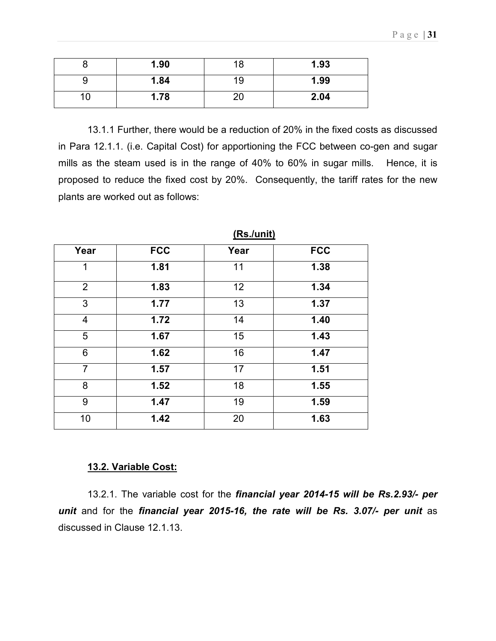|    | 1.90 | 18 | 1.93 |
|----|------|----|------|
|    | 1.84 | 19 | 1.99 |
| ึ∪ | 1.78 | 20 | 2.04 |

13.1.1 Further, there would be a reduction of 20% in the fixed costs as discussed in Para 12.1.1. (i.e. Capital Cost) for apportioning the FCC between co-gen and sugar mills as the steam used is in the range of 40% to 60% in sugar mills. Hence, it is proposed to reduce the fixed cost by 20%. Consequently, the tariff rates for the new plants are worked out as follows:

| Year           | <b>FCC</b> | Year | <b>FCC</b> |
|----------------|------------|------|------------|
| 1              | 1.81       | 11   | 1.38       |
| $\overline{2}$ | 1.83       | 12   | 1.34       |
| 3              | 1.77       | 13   | 1.37       |
| $\overline{4}$ | 1.72       | 14   | 1.40       |
| 5              | 1.67       | 15   | 1.43       |
| 6              | 1.62       | 16   | 1.47       |
| $\overline{7}$ | 1.57       | 17   | 1.51       |
| 8              | 1.52       | 18   | 1.55       |
| 9              | 1.47       | 19   | 1.59       |
| 10             | 1.42       | 20   | 1.63       |

(Rs./unit)

# 13.2. Variable Cost:

13.2.1. The variable cost for the financial year 2014-15 will be Rs.2.93/- per unit and for the financial year 2015-16, the rate will be Rs. 3.07/- per unit as discussed in Clause 12.1.13.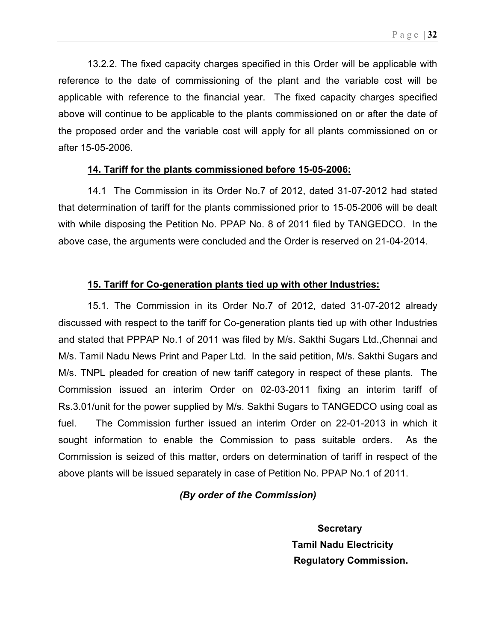13.2.2. The fixed capacity charges specified in this Order will be applicable with reference to the date of commissioning of the plant and the variable cost will be applicable with reference to the financial year. The fixed capacity charges specified above will continue to be applicable to the plants commissioned on or after the date of the proposed order and the variable cost will apply for all plants commissioned on or after 15-05-2006.

## 14. Tariff for the plants commissioned before 15-05-2006:

14.1 The Commission in its Order No.7 of 2012, dated 31-07-2012 had stated that determination of tariff for the plants commissioned prior to 15-05-2006 will be dealt with while disposing the Petition No. PPAP No. 8 of 2011 filed by TANGEDCO. In the above case, the arguments were concluded and the Order is reserved on 21-04-2014.

# 15. Tariff for Co-generation plants tied up with other Industries:

15.1. The Commission in its Order No.7 of 2012, dated 31-07-2012 already discussed with respect to the tariff for Co-generation plants tied up with other Industries and stated that PPPAP No.1 of 2011 was filed by M/s. Sakthi Sugars Ltd.,Chennai and M/s. Tamil Nadu News Print and Paper Ltd. In the said petition, M/s. Sakthi Sugars and M/s. TNPL pleaded for creation of new tariff category in respect of these plants. The Commission issued an interim Order on 02-03-2011 fixing an interim tariff of Rs.3.01/unit for the power supplied by M/s. Sakthi Sugars to TANGEDCO using coal as fuel. The Commission further issued an interim Order on 22-01-2013 in which it sought information to enable the Commission to pass suitable orders. As the Commission is seized of this matter, orders on determination of tariff in respect of the above plants will be issued separately in case of Petition No. PPAP No.1 of 2011.

## (By order of the Commission)

**Secretary**  Tamil Nadu Electricity Regulatory Commission.